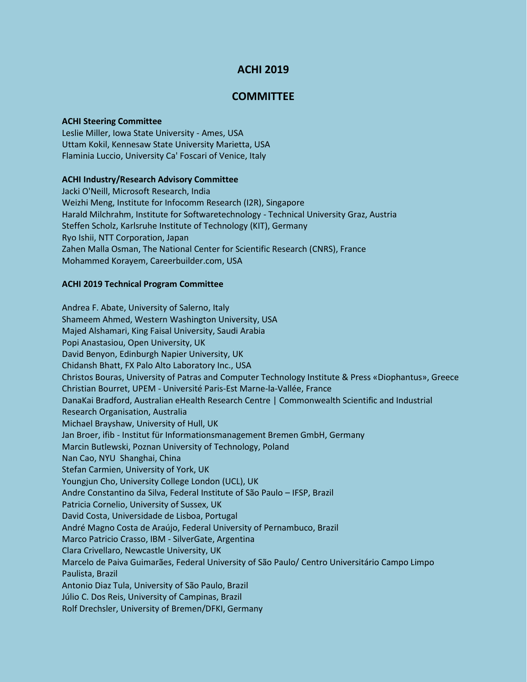# **ACHI 2019**

## **COMMITTEE**

#### **ACHI Steering Committee**

Leslie Miller, Iowa State University - Ames, USA Uttam Kokil, Kennesaw State University Marietta, USA Flaminia Luccio, University Ca' Foscari of Venice, Italy

## **ACHI Industry/Research Advisory Committee**

Jacki O'Neill, Microsoft Research, India Weizhi Meng, Institute for Infocomm Research (I2R), Singapore Harald Milchrahm, Institute for Softwaretechnology - Technical University Graz, Austria Steffen Scholz, Karlsruhe Institute of Technology (KIT), Germany Ryo Ishii, NTT Corporation, Japan Zahen Malla Osman, The National Center for Scientific Research (CNRS), France Mohammed Korayem, Careerbuilder.com, USA

## **ACHI 2019 Technical Program Committee**

Andrea F. Abate, University of Salerno, Italy Shameem Ahmed, Western Washington University, USA Majed Alshamari, King Faisal University, Saudi Arabia Popi Anastasiou, Open University, UK David Benyon, Edinburgh Napier University, UK Chidansh Bhatt, FX Palo Alto Laboratory Inc., USA Christos Bouras, University of Patras and Computer Technology Institute & Press «Diophantus», Greece Christian Bourret, UPEM - Université Paris-Est Marne-la-Vallée, France DanaKai Bradford, Australian eHealth Research Centre | Commonwealth Scientific and Industrial Research Organisation, Australia Michael Brayshaw, University of Hull, UK Jan Broer, ifib - Institut für Informationsmanagement Bremen GmbH, Germany Marcin Butlewski, Poznan University of Technology, Poland Nan Cao, NYU Shanghai, China Stefan Carmien, University of York, UK Youngjun Cho, University College London (UCL), UK Andre Constantino da Silva, Federal Institute of São Paulo – IFSP, Brazil Patricia Cornelio, University of Sussex, UK David Costa, Universidade de Lisboa, Portugal André Magno Costa de Araújo, Federal University of Pernambuco, Brazil Marco Patricio Crasso, IBM - SilverGate, Argentina Clara Crivellaro, Newcastle University, UK Marcelo de Paiva Guimarães, Federal University of São Paulo/ Centro Universitário Campo Limpo Paulista, Brazil Antonio Diaz Tula, University of São Paulo, Brazil Júlio C. Dos Reis, University of Campinas, Brazil Rolf Drechsler, University of Bremen/DFKI, Germany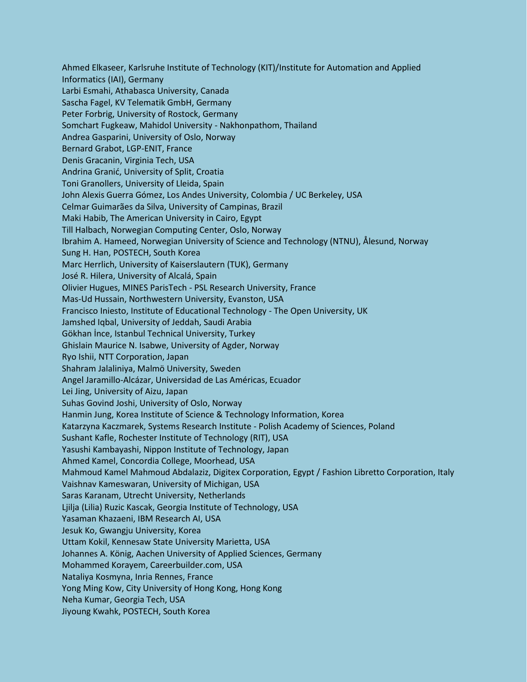Ahmed Elkaseer, Karlsruhe Institute of Technology (KIT)/Institute for Automation and Applied Informatics (IAI), Germany Larbi Esmahi, Athabasca University, Canada Sascha Fagel, KV Telematik GmbH, Germany Peter Forbrig, University of Rostock, Germany Somchart Fugkeaw, Mahidol University - Nakhonpathom, Thailand Andrea Gasparini, University of Oslo, Norway Bernard Grabot, LGP-ENIT, France Denis Gracanin, Virginia Tech, USA Andrina Granić, University of Split, Croatia Toni Granollers, University of Lleida, Spain John Alexis Guerra Gómez, Los Andes University, Colombia / UC Berkeley, USA Celmar Guimarães da Silva, University of Campinas, Brazil Maki Habib, The American University in Cairo, Egypt Till Halbach, Norwegian Computing Center, Oslo, Norway Ibrahim A. Hameed, Norwegian University of Science and Technology (NTNU), Ålesund, Norway Sung H. Han, POSTECH, South Korea Marc Herrlich, University of Kaiserslautern (TUK), Germany José R. Hilera, University of Alcalá, Spain Olivier Hugues, MINES ParisTech - PSL Research University, France Mas-Ud Hussain, Northwestern University, Evanston, USA Francisco Iniesto, Institute of Educational Technology - The Open University, UK Jamshed Iqbal, University of Jeddah, Saudi Arabia Gökhan İnce, Istanbul Technical University, Turkey Ghislain Maurice N. Isabwe, University of Agder, Norway Ryo Ishii, NTT Corporation, Japan Shahram Jalaliniya, Malmö University, Sweden Angel Jaramillo-Alcázar, Universidad de Las Américas, Ecuador Lei Jing, University of Aizu, Japan Suhas Govind Joshi, University of Oslo, Norway Hanmin Jung, Korea Institute of Science & Technology Information, Korea Katarzyna Kaczmarek, Systems Research Institute - Polish Academy of Sciences, Poland Sushant Kafle, Rochester Institute of Technology (RIT), USA Yasushi Kambayashi, Nippon Institute of Technology, Japan Ahmed Kamel, Concordia College, Moorhead, USA Mahmoud Kamel Mahmoud Abdalaziz, Digitex Corporation, Egypt / Fashion Libretto Corporation, Italy Vaishnav Kameswaran, University of Michigan, USA Saras Karanam, Utrecht University, Netherlands Ljilja (Lilia) Ruzic Kascak, Georgia Institute of Technology, USA Yasaman Khazaeni, IBM Research AI, USA Jesuk Ko, Gwangju University, Korea Uttam Kokil, Kennesaw State University Marietta, USA Johannes A. König, Aachen University of Applied Sciences, Germany Mohammed Korayem, Careerbuilder.com, USA Nataliya Kosmyna, Inria Rennes, France Yong Ming Kow, City University of Hong Kong, Hong Kong Neha Kumar, Georgia Tech, USA Jiyoung Kwahk, POSTECH, South Korea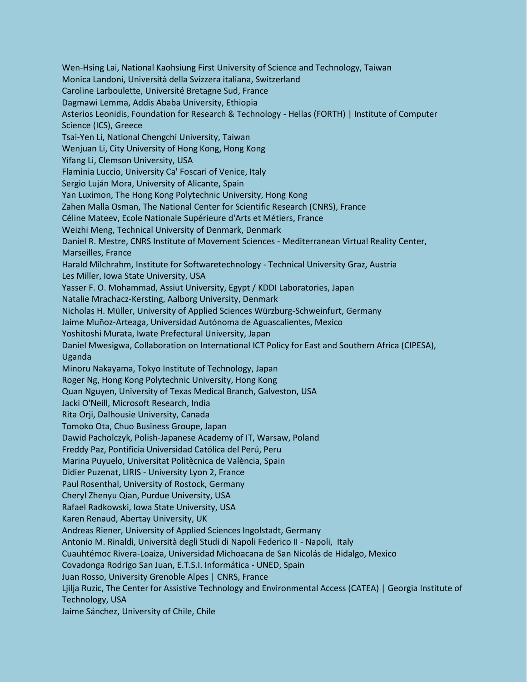Wen-Hsing Lai, National Kaohsiung First University of Science and Technology, Taiwan Monica Landoni, Università della Svizzera italiana, Switzerland Caroline Larboulette, Université Bretagne Sud, France Dagmawi Lemma, Addis Ababa University, Ethiopia Asterios Leonidis, Foundation for Research & Technology - Hellas (FORTH) | Institute of Computer Science (ICS), Greece Tsai-Yen Li, National Chengchi University, Taiwan Wenjuan Li, City University of Hong Kong, Hong Kong Yifang Li, Clemson University, USA Flaminia Luccio, University Ca' Foscari of Venice, Italy Sergio Luján Mora, University of Alicante, Spain Yan Luximon, The Hong Kong Polytechnic University, Hong Kong Zahen Malla Osman, The National Center for Scientific Research (CNRS), France Céline Mateev, Ecole Nationale Supérieure d'Arts et Métiers, France Weizhi Meng, Technical University of Denmark, Denmark Daniel R. Mestre, CNRS Institute of Movement Sciences - Mediterranean Virtual Reality Center, Marseilles, France Harald Milchrahm, Institute for Softwaretechnology - Technical University Graz, Austria Les Miller, Iowa State University, USA Yasser F. O. Mohammad, Assiut University, Egypt / KDDI Laboratories, Japan Natalie Mrachacz-Kersting, Aalborg University, Denmark Nicholas H. Müller, University of Applied Sciences Würzburg-Schweinfurt, Germany Jaime Muñoz-Arteaga, Universidad Autónoma de Aguascalientes, Mexico Yoshitoshi Murata, Iwate Prefectural University, Japan Daniel Mwesigwa, Collaboration on International ICT Policy for East and Southern Africa (CIPESA), Uganda Minoru Nakayama, Tokyo Institute of Technology, Japan Roger Ng, Hong Kong Polytechnic University, Hong Kong Quan Nguyen, University of Texas Medical Branch, Galveston, USA Jacki O'Neill, Microsoft Research, India Rita Orji, Dalhousie University, Canada Tomoko Ota, Chuo Business Groupe, Japan Dawid Pacholczyk, Polish-Japanese Academy of IT, Warsaw, Poland Freddy Paz, Pontificia Universidad Católica del Perú, Peru Marina Puyuelo, Universitat Politècnica de València, Spain Didier Puzenat, LIRIS - University Lyon 2, France Paul Rosenthal, University of Rostock, Germany Cheryl Zhenyu Qian, Purdue University, USA Rafael Radkowski, Iowa State University, USA Karen Renaud, Abertay University, UK Andreas Riener, University of Applied Sciences Ingolstadt, Germany Antonio M. Rinaldi, Università degli Studi di Napoli Federico II - Napoli, Italy Cuauhtémoc Rivera-Loaiza, Universidad Michoacana de San Nicolás de Hidalgo, Mexico Covadonga Rodrigo San Juan, E.T.S.I. Informática - UNED, Spain Juan Rosso, University Grenoble Alpes | CNRS, France Ljilja Ruzic, The Center for Assistive Technology and Environmental Access (CATEA) | Georgia Institute of Technology, USA Jaime Sánchez, University of Chile, Chile